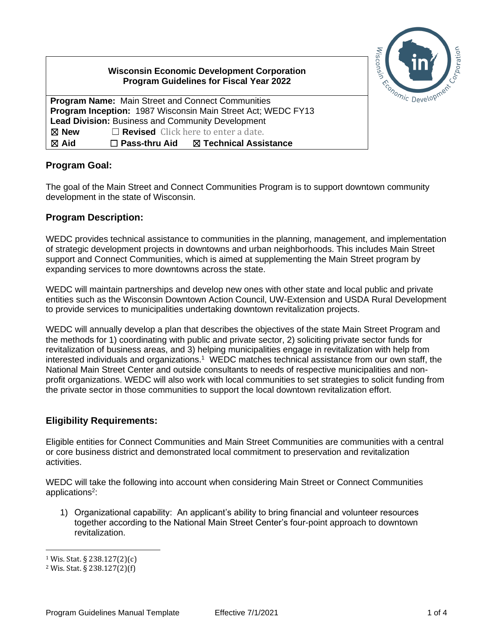|  | Management of Contract Contract Contract Contract Contract Contract Contract Contract Contract Contract Contract Contract Contract Contract Contract Contract Contract Contract Contract Contract Contract Contract Contract C |  |
|--|--------------------------------------------------------------------------------------------------------------------------------------------------------------------------------------------------------------------------------|--|
|  |                                                                                                                                                                                                                                |  |

# **Wisconsin Economic Development Corporation Program Guidelines for Fiscal Year 2022 Program Name:** Main Street and Connect Communities

**Program Inception:** 1987 Wisconsin Main Street Act; WEDC FY13 **Lead Division:** Business and Community Development ☒ **New** ☐ **Revised** Click here to enter a date. ☒ **Aid** ☐ **Pass-thru Aid** ☒ **Technical Assistance**

#### **Program Goal:**

The goal of the Main Street and Connect Communities Program is to support downtown community development in the state of Wisconsin.

#### **Program Description:**

WEDC provides technical assistance to communities in the planning, management, and implementation of strategic development projects in downtowns and urban neighborhoods. This includes Main Street support and Connect Communities, which is aimed at supplementing the Main Street program by expanding services to more downtowns across the state.

WEDC will maintain partnerships and develop new ones with other state and local public and private entities such as the Wisconsin Downtown Action Council, UW-Extension and USDA Rural Development to provide services to municipalities undertaking downtown revitalization projects.

WEDC will annually develop a plan that describes the objectives of the state Main Street Program and the methods for 1) coordinating with public and private sector, 2) soliciting private sector funds for revitalization of business areas, and 3) helping municipalities engage in revitalization with help from interested individuals and organizations.<sup>1</sup> WEDC matches technical assistance from our own staff, the National Main Street Center and outside consultants to needs of respective municipalities and nonprofit organizations. WEDC will also work with local communities to set strategies to solicit funding from the private sector in those communities to support the local downtown revitalization effort.

#### **Eligibility Requirements:**

Eligible entities for Connect Communities and Main Street Communities are communities with a central or core business district and demonstrated local commitment to preservation and revitalization activities.

WEDC will take the following into account when considering Main Street or Connect Communities applications<sup>2</sup>:

1) Organizational capability: An applicant's ability to bring financial and volunteer resources together according to the National Main Street Center's four-point approach to downtown revitalization.

<sup>1</sup> Wis. Stat. § 238.127(2)(c)

<sup>2</sup> Wis. Stat. § 238.127(2)(f)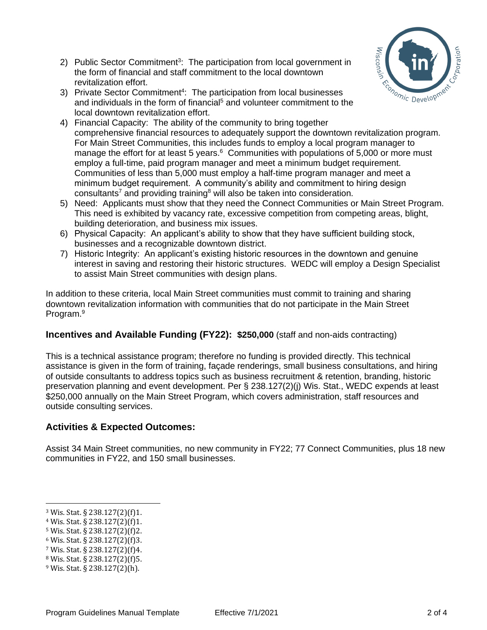- 2) Public Sector Commitment<sup>3</sup>: The participation from local government in the form of financial and staff commitment to the local downtown revitalization effort.
- 3) Private Sector Commitment<sup>4</sup>: The participation from local businesses and individuals in the form of financial<sup>5</sup> and volunteer commitment to the local downtown revitalization effort.



- 4) Financial Capacity: The ability of the community to bring together comprehensive financial resources to adequately support the downtown revitalization program. For Main Street Communities, this includes funds to employ a local program manager to manage the effort for at least 5 years.<sup>6</sup> Communities with populations of 5,000 or more must employ a full-time, paid program manager and meet a minimum budget requirement. Communities of less than 5,000 must employ a half-time program manager and meet a minimum budget requirement. A community's ability and commitment to hiring design consultants<sup>7</sup> and providing training<sup>8</sup> will also be taken into consideration.
- 5) Need: Applicants must show that they need the Connect Communities or Main Street Program. This need is exhibited by vacancy rate, excessive competition from competing areas, blight, building deterioration, and business mix issues.
- 6) Physical Capacity: An applicant's ability to show that they have sufficient building stock, businesses and a recognizable downtown district.
- 7) Historic Integrity: An applicant's existing historic resources in the downtown and genuine interest in saving and restoring their historic structures. WEDC will employ a Design Specialist to assist Main Street communities with design plans.

In addition to these criteria, local Main Street communities must commit to training and sharing downtown revitalization information with communities that do not participate in the Main Street Program.<sup>9</sup>

## **Incentives and Available Funding (FY22): \$250,000** (staff and non-aids contracting)

This is a technical assistance program; therefore no funding is provided directly. This technical assistance is given in the form of training, façade renderings, small business consultations, and hiring of outside consultants to address topics such as business recruitment & retention, branding, historic preservation planning and event development. Per § 238.127(2)(j) Wis. Stat., WEDC expends at least \$250,000 annually on the Main Street Program, which covers administration, staff resources and outside consulting services.

## **Activities & Expected Outcomes:**

Assist 34 Main Street communities, no new community in FY22; 77 Connect Communities, plus 18 new communities in FY22, and 150 small businesses.

<sup>3</sup> Wis. Stat. § 238.127(2)(f)1.

<sup>4</sup> Wis. Stat. § 238.127(2)(f)1.

<sup>5</sup> Wis. Stat. § 238.127(2)(f)2.

<sup>6</sup> Wis. Stat. § 238.127(2)(f)3.

<sup>7</sup> Wis. Stat. § 238.127(2)(f)4.

<sup>8</sup> Wis. Stat. § 238.127(2)(f)5.

<sup>9</sup> Wis. Stat. § 238.127(2)(h).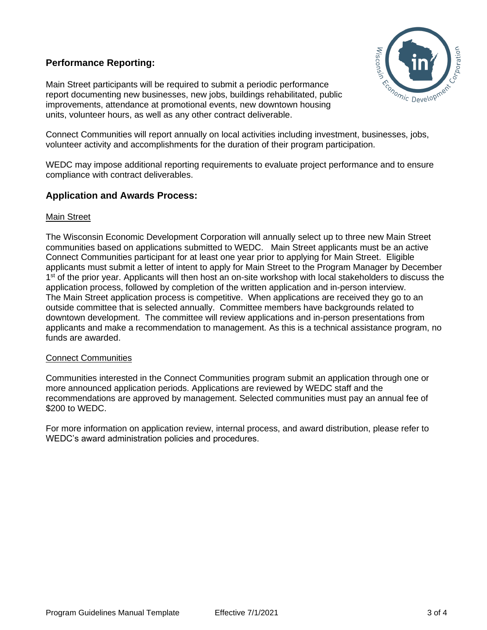#### **Performance Reporting:**



Main Street participants will be required to submit a periodic performance report documenting new businesses, new jobs, buildings rehabilitated, public improvements, attendance at promotional events, new downtown housing units, volunteer hours, as well as any other contract deliverable.

Connect Communities will report annually on local activities including investment, businesses, jobs, volunteer activity and accomplishments for the duration of their program participation.

WEDC may impose additional reporting requirements to evaluate project performance and to ensure compliance with contract deliverables.

#### **Application and Awards Process:**

#### Main Street

The Wisconsin Economic Development Corporation will annually select up to three new Main Street communities based on applications submitted to WEDC. Main Street applicants must be an active Connect Communities participant for at least one year prior to applying for Main Street. Eligible applicants must submit a letter of intent to apply for Main Street to the Program Manager by December 1<sup>st</sup> of the prior year. Applicants will then host an on-site workshop with local stakeholders to discuss the application process, followed by completion of the written application and in-person interview. The Main Street application process is competitive. When applications are received they go to an outside committee that is selected annually. Committee members have backgrounds related to downtown development. The committee will review applications and in-person presentations from applicants and make a recommendation to management. As this is a technical assistance program, no funds are awarded.

#### Connect Communities

Communities interested in the Connect Communities program submit an application through one or more announced application periods. Applications are reviewed by WEDC staff and the recommendations are approved by management. Selected communities must pay an annual fee of \$200 to WEDC.

For more information on application review, internal process, and award distribution, please refer to WEDC's award administration policies and procedures.